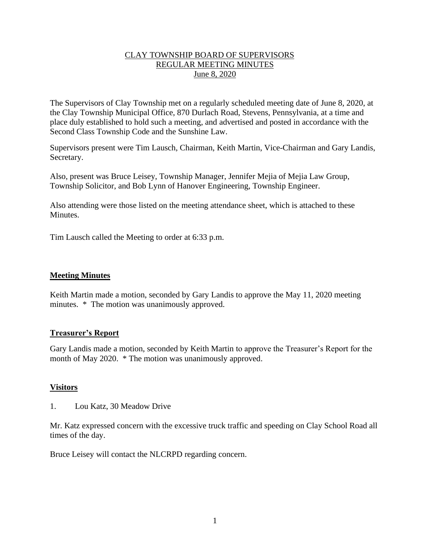## CLAY TOWNSHIP BOARD OF SUPERVISORS REGULAR MEETING MINUTES June 8, 2020

The Supervisors of Clay Township met on a regularly scheduled meeting date of June 8, 2020, at the Clay Township Municipal Office, 870 Durlach Road, Stevens, Pennsylvania, at a time and place duly established to hold such a meeting, and advertised and posted in accordance with the Second Class Township Code and the Sunshine Law.

Supervisors present were Tim Lausch, Chairman, Keith Martin, Vice-Chairman and Gary Landis, Secretary.

Also, present was Bruce Leisey, Township Manager, Jennifer Mejia of Mejia Law Group, Township Solicitor, and Bob Lynn of Hanover Engineering, Township Engineer.

Also attending were those listed on the meeting attendance sheet, which is attached to these Minutes.

Tim Lausch called the Meeting to order at 6:33 p.m.

## **Meeting Minutes**

Keith Martin made a motion, seconded by Gary Landis to approve the May 11, 2020 meeting minutes. \* The motion was unanimously approved.

## **Treasurer's Report**

Gary Landis made a motion, seconded by Keith Martin to approve the Treasurer's Report for the month of May 2020. \* The motion was unanimously approved.

## **Visitors**

1. Lou Katz, 30 Meadow Drive

Mr. Katz expressed concern with the excessive truck traffic and speeding on Clay School Road all times of the day.

Bruce Leisey will contact the NLCRPD regarding concern.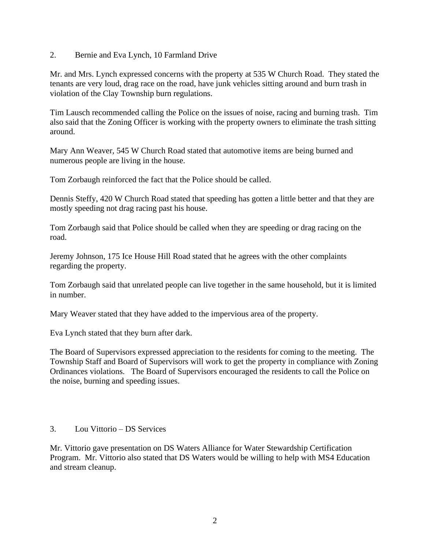2. Bernie and Eva Lynch, 10 Farmland Drive

Mr. and Mrs. Lynch expressed concerns with the property at 535 W Church Road. They stated the tenants are very loud, drag race on the road, have junk vehicles sitting around and burn trash in violation of the Clay Township burn regulations.

Tim Lausch recommended calling the Police on the issues of noise, racing and burning trash. Tim also said that the Zoning Officer is working with the property owners to eliminate the trash sitting around.

Mary Ann Weaver, 545 W Church Road stated that automotive items are being burned and numerous people are living in the house.

Tom Zorbaugh reinforced the fact that the Police should be called.

Dennis Steffy, 420 W Church Road stated that speeding has gotten a little better and that they are mostly speeding not drag racing past his house.

Tom Zorbaugh said that Police should be called when they are speeding or drag racing on the road.

Jeremy Johnson, 175 Ice House Hill Road stated that he agrees with the other complaints regarding the property.

Tom Zorbaugh said that unrelated people can live together in the same household, but it is limited in number.

Mary Weaver stated that they have added to the impervious area of the property.

Eva Lynch stated that they burn after dark.

The Board of Supervisors expressed appreciation to the residents for coming to the meeting. The Township Staff and Board of Supervisors will work to get the property in compliance with Zoning Ordinances violations. The Board of Supervisors encouraged the residents to call the Police on the noise, burning and speeding issues.

## 3. Lou Vittorio – DS Services

Mr. Vittorio gave presentation on DS Waters Alliance for Water Stewardship Certification Program. Mr. Vittorio also stated that DS Waters would be willing to help with MS4 Education and stream cleanup.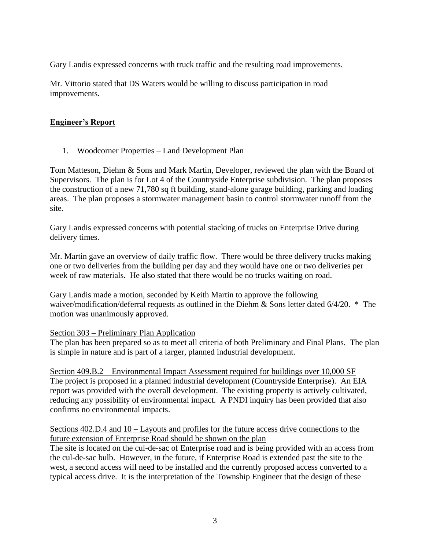Gary Landis expressed concerns with truck traffic and the resulting road improvements.

Mr. Vittorio stated that DS Waters would be willing to discuss participation in road improvements.

## **Engineer's Report**

1. Woodcorner Properties – Land Development Plan

Tom Matteson, Diehm & Sons and Mark Martin, Developer, reviewed the plan with the Board of Supervisors. The plan is for Lot 4 of the Countryside Enterprise subdivision. The plan proposes the construction of a new 71,780 sq ft building, stand-alone garage building, parking and loading areas. The plan proposes a stormwater management basin to control stormwater runoff from the site.

Gary Landis expressed concerns with potential stacking of trucks on Enterprise Drive during delivery times.

Mr. Martin gave an overview of daily traffic flow. There would be three delivery trucks making one or two deliveries from the building per day and they would have one or two deliveries per week of raw materials. He also stated that there would be no trucks waiting on road.

Gary Landis made a motion, seconded by Keith Martin to approve the following waiver/modification/deferral requests as outlined in the Diehm & Sons letter dated 6/4/20. \* The motion was unanimously approved.

## Section 303 – Preliminary Plan Application

The plan has been prepared so as to meet all criteria of both Preliminary and Final Plans. The plan is simple in nature and is part of a larger, planned industrial development.

Section 409.B.2 – Environmental Impact Assessment required for buildings over 10,000 SF The project is proposed in a planned industrial development (Countryside Enterprise). An EIA report was provided with the overall development. The existing property is actively cultivated, reducing any possibility of environmental impact. A PNDI inquiry has been provided that also confirms no environmental impacts.

## Sections 402.D.4 and 10 – Layouts and profiles for the future access drive connections to the future extension of Enterprise Road should be shown on the plan

The site is located on the cul-de-sac of Enterprise road and is being provided with an access from the cul-de-sac bulb. However, in the future, if Enterprise Road is extended past the site to the west, a second access will need to be installed and the currently proposed access converted to a typical access drive. It is the interpretation of the Township Engineer that the design of these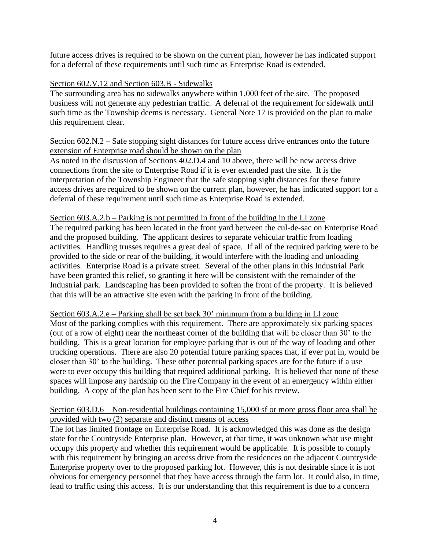future access drives is required to be shown on the current plan, however he has indicated support for a deferral of these requirements until such time as Enterprise Road is extended.

## Section 602.V.12 and Section 603.B - Sidewalks

The surrounding area has no sidewalks anywhere within 1,000 feet of the site. The proposed business will not generate any pedestrian traffic. A deferral of the requirement for sidewalk until such time as the Township deems is necessary. General Note 17 is provided on the plan to make this requirement clear.

## Section 602.N.2 – Safe stopping sight distances for future access drive entrances onto the future extension of Enterprise road should be shown on the plan

As noted in the discussion of Sections 402.D.4 and 10 above, there will be new access drive connections from the site to Enterprise Road if it is ever extended past the site. It is the interpretation of the Township Engineer that the safe stopping sight distances for these future access drives are required to be shown on the current plan, however, he has indicated support for a deferral of these requirement until such time as Enterprise Road is extended.

## Section 603.A.2.b – Parking is not permitted in front of the building in the LI zone

The required parking has been located in the front yard between the cul-de-sac on Enterprise Road and the proposed building. The applicant desires to separate vehicular traffic from loading activities. Handling trusses requires a great deal of space. If all of the required parking were to be provided to the side or rear of the building, it would interfere with the loading and unloading activities. Enterprise Road is a private street. Several of the other plans in this Industrial Park have been granted this relief, so granting it here will be consistent with the remainder of the Industrial park. Landscaping has been provided to soften the front of the property. It is believed that this will be an attractive site even with the parking in front of the building.

## Section 603.A.2.e – Parking shall be set back 30' minimum from a building in LI zone

Most of the parking complies with this requirement. There are approximately six parking spaces (out of a row of eight) near the northeast corner of the building that will be closer than 30' to the building. This is a great location for employee parking that is out of the way of loading and other trucking operations. There are also 20 potential future parking spaces that, if ever put in, would be closer than 30' to the building. These other potential parking spaces are for the future if a use were to ever occupy this building that required additional parking. It is believed that none of these spaces will impose any hardship on the Fire Company in the event of an emergency within either building. A copy of the plan has been sent to the Fire Chief for his review.

## Section 603.D.6 – Non-residential buildings containing 15,000 sf or more gross floor area shall be provided with two (2) separate and distinct means of access

The lot has limited frontage on Enterprise Road. It is acknowledged this was done as the design state for the Countryside Enterprise plan. However, at that time, it was unknown what use might occupy this property and whether this requirement would be applicable. It is possible to comply with this requirement by bringing an access drive from the residences on the adjacent Countryside Enterprise property over to the proposed parking lot. However, this is not desirable since it is not obvious for emergency personnel that they have access through the farm lot. It could also, in time, lead to traffic using this access. It is our understanding that this requirement is due to a concern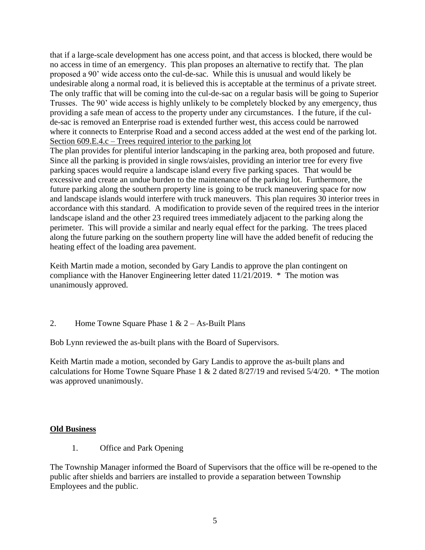that if a large-scale development has one access point, and that access is blocked, there would be no access in time of an emergency. This plan proposes an alternative to rectify that. The plan proposed a 90' wide access onto the cul-de-sac. While this is unusual and would likely be undesirable along a normal road, it is believed this is acceptable at the terminus of a private street. The only traffic that will be coming into the cul-de-sac on a regular basis will be going to Superior Trusses. The 90' wide access is highly unlikely to be completely blocked by any emergency, thus providing a safe mean of access to the property under any circumstances. I the future, if the culde-sac is removed an Enterprise road is extended further west, this access could be narrowed where it connects to Enterprise Road and a second access added at the west end of the parking lot. Section 609.E.4.c – Trees required interior to the parking lot

The plan provides for plentiful interior landscaping in the parking area, both proposed and future. Since all the parking is provided in single rows/aisles, providing an interior tree for every five parking spaces would require a landscape island every five parking spaces. That would be excessive and create an undue burden to the maintenance of the parking lot. Furthermore, the future parking along the southern property line is going to be truck maneuvering space for now and landscape islands would interfere with truck maneuvers. This plan requires 30 interior trees in accordance with this standard. A modification to provide seven of the required trees in the interior landscape island and the other 23 required trees immediately adjacent to the parking along the perimeter. This will provide a similar and nearly equal effect for the parking. The trees placed along the future parking on the southern property line will have the added benefit of reducing the heating effect of the loading area pavement.

Keith Martin made a motion, seconded by Gary Landis to approve the plan contingent on compliance with the Hanover Engineering letter dated 11/21/2019. \* The motion was unanimously approved.

2. Home Towne Square Phase  $1 \& 2 - As-Built$  Plans

Bob Lynn reviewed the as-built plans with the Board of Supervisors.

Keith Martin made a motion, seconded by Gary Landis to approve the as-built plans and calculations for Home Towne Square Phase 1 & 2 dated 8/27/19 and revised 5/4/20. \* The motion was approved unanimously.

## **Old Business**

1. Office and Park Opening

The Township Manager informed the Board of Supervisors that the office will be re-opened to the public after shields and barriers are installed to provide a separation between Township Employees and the public.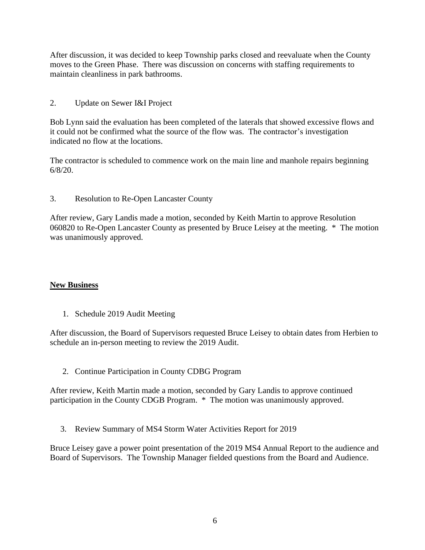After discussion, it was decided to keep Township parks closed and reevaluate when the County moves to the Green Phase. There was discussion on concerns with staffing requirements to maintain cleanliness in park bathrooms.

2. Update on Sewer I&I Project

Bob Lynn said the evaluation has been completed of the laterals that showed excessive flows and it could not be confirmed what the source of the flow was. The contractor's investigation indicated no flow at the locations.

The contractor is scheduled to commence work on the main line and manhole repairs beginning 6/8/20.

3. Resolution to Re-Open Lancaster County

After review, Gary Landis made a motion, seconded by Keith Martin to approve Resolution 060820 to Re-Open Lancaster County as presented by Bruce Leisey at the meeting. \* The motion was unanimously approved.

# **New Business**

1. Schedule 2019 Audit Meeting

After discussion, the Board of Supervisors requested Bruce Leisey to obtain dates from Herbien to schedule an in-person meeting to review the 2019 Audit.

2. Continue Participation in County CDBG Program

After review, Keith Martin made a motion, seconded by Gary Landis to approve continued participation in the County CDGB Program. \* The motion was unanimously approved.

3. Review Summary of MS4 Storm Water Activities Report for 2019

Bruce Leisey gave a power point presentation of the 2019 MS4 Annual Report to the audience and Board of Supervisors. The Township Manager fielded questions from the Board and Audience.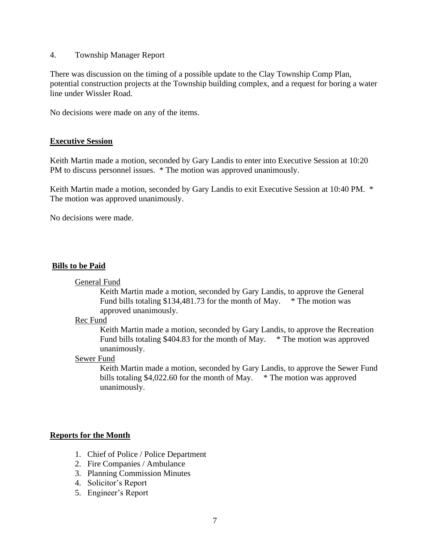#### 4. Township Manager Report

There was discussion on the timing of a possible update to the Clay Township Comp Plan, potential construction projects at the Township building complex, and a request for boring a water line under Wissler Road.

No decisions were made on any of the items.

## **Executive Session**

Keith Martin made a motion, seconded by Gary Landis to enter into Executive Session at 10:20 PM to discuss personnel issues. \* The motion was approved unanimously.

Keith Martin made a motion, seconded by Gary Landis to exit Executive Session at 10:40 PM. \* The motion was approved unanimously.

No decisions were made.

## **Bills to be Paid**

General Fund

Keith Martin made a motion, seconded by Gary Landis, to approve the General Fund bills totaling \$134,481.73 for the month of May. \* The motion was approved unanimously.

## Rec Fund

Keith Martin made a motion, seconded by Gary Landis, to approve the Recreation Fund bills totaling \$404.83 for the month of May. \* The motion was approved unanimously.

#### Sewer Fund

Keith Martin made a motion, seconded by Gary Landis, to approve the Sewer Fund bills totaling \$4,022.60 for the month of May. \* The motion was approved unanimously.

## **Reports for the Month**

- 1. Chief of Police / Police Department
- 2. Fire Companies / Ambulance
- 3. Planning Commission Minutes
- 4. Solicitor's Report
- 5. Engineer's Report